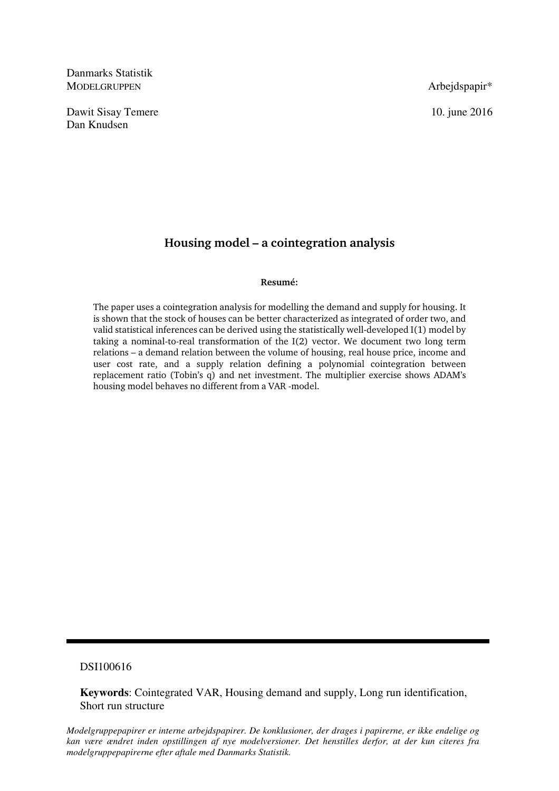Danmarks Statistik MODELGRUPPEN Arbejdspapir<sup>\*</sup>

Dawit Sisay Temere 10. june 2016 Dan Knudsen

# **Housing model – a cointegration analysis**

## **Resumé:**

The paper uses a cointegration analysis for modelling the demand and supply for housing. It is shown that the stock of houses can be better characterized as integrated of order two, and valid statistical inferences can be derived using the statistically well-developed I(1) model by taking a nominal-to-real transformation of the I(2) vector. We document two long term relations – a demand relation between the volume of housing, real house price, income and user cost rate, and a supply relation defining a polynomial cointegration between replacement ratio (Tobin's q) and net investment. The multiplier exercise shows ADAM's housing model behaves no different from a VAR -model.

# DSI100616

**Keywords**: Cointegrated VAR, Housing demand and supply, Long run identification, Short run structure

*Modelgruppepapirer er interne arbejdspapirer. De konklusioner, der drages i papirerne, er ikke endelige og kan være ændret inden opstillingen af nye modelversioner. Det henstilles derfor, at der kun citeres fra modelgruppepapirerne efter aftale med Danmarks Statistik.*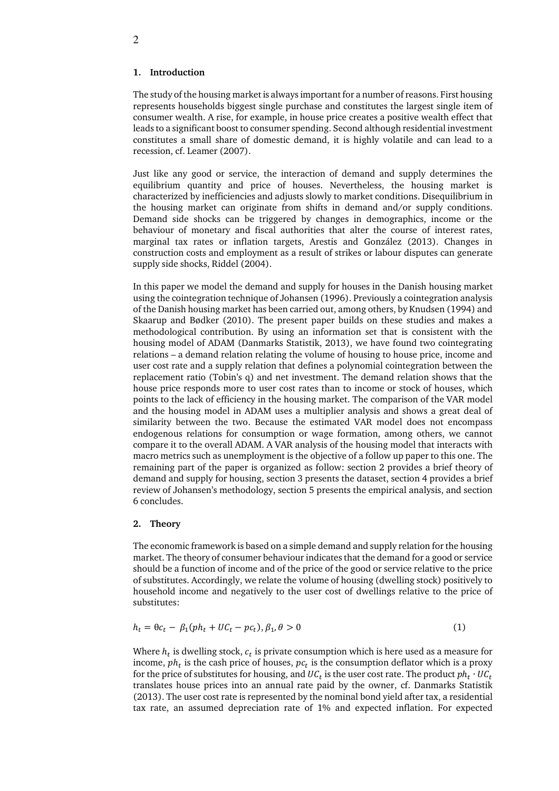The study of the housing market is always important for a number of reasons. First housing represents households biggest single purchase and constitutes the largest single item of consumer wealth. A rise, for example, in house price creates a positive wealth effect that leads to a significant boost to consumer spending. Second although residential investment constitutes a small share of domestic demand, it is highly volatile and can lead to a recession, cf. Leamer (2007).

Just like any good or service, the interaction of demand and supply determines the equilibrium quantity and price of houses. Nevertheless, the housing market is characterized by inefficiencies and adjusts slowly to market conditions. Disequilibrium in the housing market can originate from shifts in demand and/or supply conditions. Demand side shocks can be triggered by changes in demographics, income or the behaviour of monetary and fiscal authorities that alter the course of interest rates, marginal tax rates or inflation targets, Arestis and González (2013). Changes in construction costs and employment as a result of strikes or labour disputes can generate supply side shocks, Riddel (2004).

In this paper we model the demand and supply for houses in the Danish housing market using the cointegration technique of Johansen (1996). Previously a cointegration analysis of the Danish housing market has been carried out, among others, by Knudsen (1994) and Skaarup and Bødker (2010). The present paper builds on these studies and makes a methodological contribution. By using an information set that is consistent with the housing model of ADAM (Danmarks Statistik, 2013), we have found two cointegrating relations – a demand relation relating the volume of housing to house price, income and user cost rate and a supply relation that defines a polynomial cointegration between the replacement ratio (Tobin's q) and net investment. The demand relation shows that the house price responds more to user cost rates than to income or stock of houses, which points to the lack of efficiency in the housing market. The comparison of the VAR model and the housing model in ADAM uses a multiplier analysis and shows a great deal of similarity between the two. Because the estimated VAR model does not encompass endogenous relations for consumption or wage formation, among others, we cannot compare it to the overall ADAM. A VAR analysis of the housing model that interacts with macro metrics such as unemployment is the objective of a follow up paper to this one. The remaining part of the paper is organized as follow: section 2 provides a brief theory of demand and supply for housing, section 3 presents the dataset, section 4 provides a brief review of Johansen's methodology, section 5 presents the empirical analysis, and section 6 concludes.

## **2. Theory**

The economic framework is based on a simple demand and supply relation for the housing market. The theory of consumer behaviour indicates that the demand for a good or service should be a function of income and of the price of the good or service relative to the price of substitutes. Accordingly, we relate the volume of housing (dwelling stock) positively to household income and negatively to the user cost of dwellings relative to the price of substitutes:

$$
h_t = \theta c_t - \beta_1 (ph_t + UC_t - pc_t), \beta_1, \theta > 0
$$
\n<sup>(1)</sup>

Where  $h_t$  is dwelling stock,  $c_t$  is private consumption which is here used as a measure for income,  $ph_t$  is the cash price of houses,  $\mathit{pc}_t$  is the consumption deflator which is a proxy for the price of substitutes for housing, and  $\mathit{UC}_t$  is the user cost rate. The product  $\mathit{ph}_t\cdot \mathit{UC}_t$ translates house prices into an annual rate paid by the owner, cf. Danmarks Statistik (2013). The user cost rate is represented by the nominal bond yield after tax, a residential tax rate, an assumed depreciation rate of 1% and expected inflation. For expected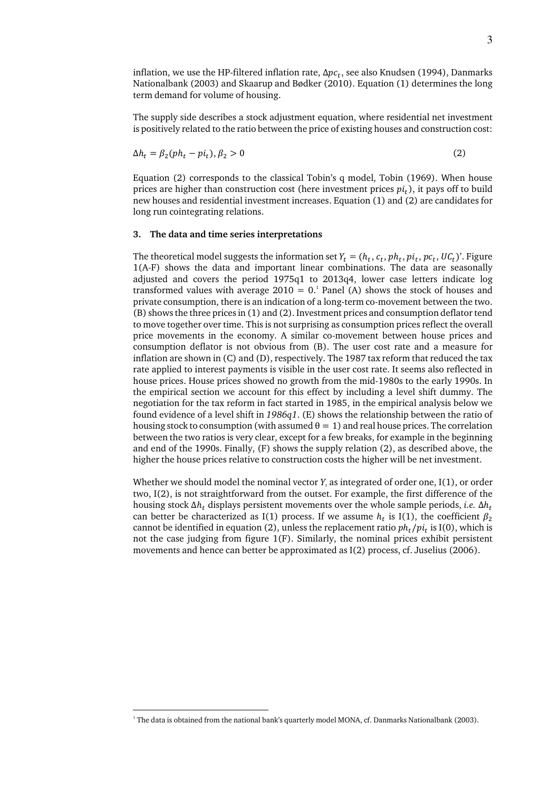inflation, we use the HP-filtered inflation rate, ∆ $\mathit{pc}_t$ , see also Knudsen (1994), Danmarks Nationalbank (2003) and Skaarup and Bødker (2010). Equation (1) determines the long term demand for volume of housing.

The supply side describes a stock adjustment equation, where residential net investment is positively related to the ratio between the price of existing houses and construction cost:

$$
\Delta h_t = \beta_2 (ph_t - pi_t), \beta_2 > 0 \tag{2}
$$

Equation (2) corresponds to the classical Tobin's q model, Tobin (1969). When house prices are higher than construction cost (here investment prices  $pi_t$ ), it pays off to build new houses and residential investment increases. Equation (1) and (2) are candidates for long run cointegrating relations.

## **3. The data and time series interpretations**

The theoretical model suggests the information set  $Y_t = (h_t, c_t, ph_t, pi_t, pc_t, UC_t)$ '. Figure 1(A-F) shows the data and important linear combinations. The data are seasonally adjusted and covers the period 1975q1 to 2013q4, lower case letters indicate log transformed values with average  $2010 = 0$ .<sup>1</sup> Panel (A) shows the stock of houses and private consumption, there is an indication of a long-term co-movement between the two. (B) shows the three prices in (1) and (2). Investment prices and consumption deflator tend to move together over time. This is not surprising as consumption prices reflect the overall price movements in the economy. A similar co-movement between house prices and consumption deflator is not obvious from (B). The user cost rate and a measure for inflation are shown in (C) and (D), respectively. The 1987 tax reform that reduced the tax rate applied to interest payments is visible in the user cost rate. It seems also reflected in house prices. House prices showed no growth from the mid-1980s to the early 1990s. In the empirical section we account for this effect by including a level shift dummy. The negotiation for the tax reform in fact started in 1985, in the empirical analysis below we found evidence of a level shift in *1986q1*. (E) shows the relationship between the ratio of housing stock to consumption (with assumed  $\theta = 1$ ) and real house prices. The correlation between the two ratios is very clear, except for a few breaks, for example in the beginning and end of the 1990s. Finally, (F) shows the supply relation (2), as described above, the higher the house prices relative to construction costs the higher will be net investment.

Whether we should model the nominal vector  $Y_t$  as integrated of order one,  $I(1)$ , or order two, I(2), is not straightforward from the outset. For example, the first difference of the housing stock Δ $h_t$  displays persistent movements over the whole sample periods, *i.e*. Δ $h_t$ can better be characterized as I(1) process. If we assume  $h_t$  is I(1), the coefficient  $\beta_2$ cannot be identified in equation (2), unless the replacement ratio  $ph_t/pi_t$  is I(0), which is not the case judging from figure 1(F). Similarly, the nominal prices exhibit persistent movements and hence can better be approximated as I(2) process, cf. Juselius (2006).

-

<sup>1</sup> The data is obtained from the national bank's quarterly model MONA, cf. Danmarks Nationalbank (2003).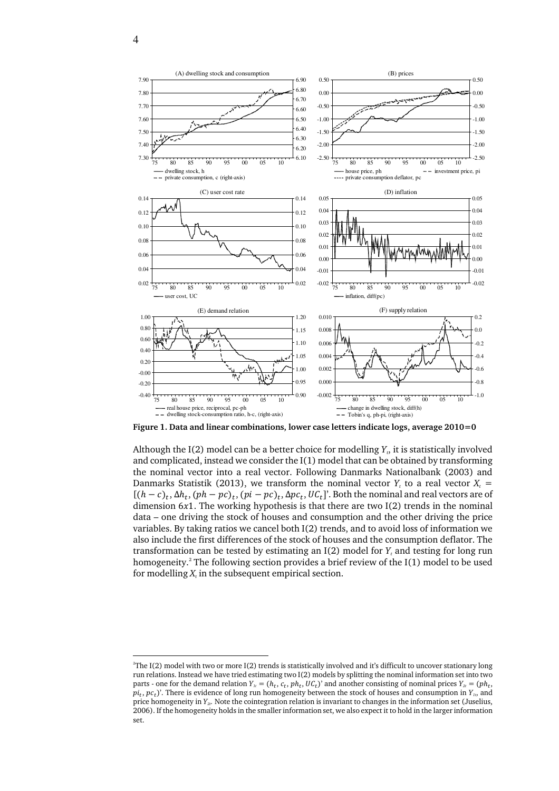

 $\overline{a}$ 



**Figure 1. Data and linear combinations, lower case letters indicate logs, average 2010=0** 

Although the I(2) model can be a better choice for modelling *Y<sup>t</sup>* , it is statistically involved and complicated, instead we consider the I(1) model that can be obtained by transforming the nominal vector into a real vector. Following Danmarks Nationalbank (2003) and Danmarks Statistik (2013), we transform the nominal vector  $Y_t$  to a real vector  $X_t$  =  $[(h-c)_t, \Delta h_t, (ph-pc)_t, (pi-pc)_t, \Delta pc_t, UC_t]$ . Both the nominal and real vectors are of dimension  $6x1$ . The working hypothesis is that there are two I(2) trends in the nominal data – one driving the stock of houses and consumption and the other driving the price variables. By taking ratios we cancel both I(2) trends, and to avoid loss of information we also include the first differences of the stock of houses and the consumption deflator. The transformation can be tested by estimating an I(2) model for *Y<sup>t</sup>* and testing for long run homogeneity.<sup>2</sup> The following section provides a brief review of the I(1) model to be used for modelling  $X_t$  in the subsequent empirical section.

<sup>2</sup> The I(2) model with two or more I(2) trends is statistically involved and it's difficult to uncover stationary long run relations. Instead we have tried estimating two I(2) models by splitting the nominal information set into two parts - one for the demand relation  $Y_i = (h_t, c_t, ph_t, UC_t)$  and another consisting of nominal prices  $Y_{2t} = (ph_t,$  $pi_t$ ,  $pc_t$ )'. There is evidence of long run homogeneity between the stock of houses and consumption in  $Y_t$ , and price homogeneity in *Y2t.* Note the cointegration relation is invariant to changes in the information set (Juselius, 2006). If the homogeneity holds in the smaller information set, we also expect it to hold in the larger information set.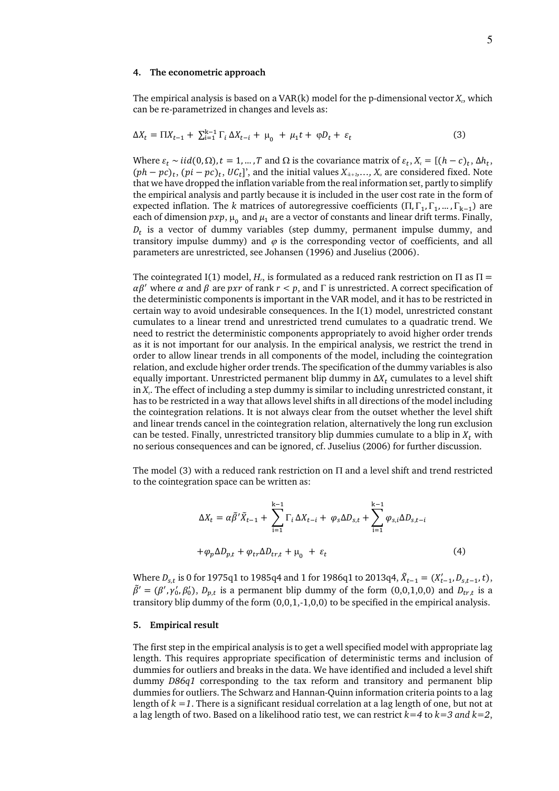#### **4. The econometric approach**

The empirical analysis is based on a VAR(k) model for the p-dimensional vector *X<sup>t</sup>* , which can be re-parametrized in changes and levels as:

$$
\Delta X_t = \Pi X_{t-1} + \sum_{i=1}^{k-1} \Gamma_i \Delta X_{t-i} + \mu_0 + \mu_1 t + \varphi D_t + \varepsilon_t \tag{3}
$$

Where  $\varepsilon_t \sim \text{iid}(0, \Omega)$ ,  $t = 1, ..., T$  and  $\Omega$  is the covariance matrix of  $\varepsilon_t$ ,  $X_t = [(h - c)_t, \Delta h_t]$ ,  $(ph - pc)_t$ ,  $(pi - pc)_t$ ,  $UC_t$ ]', and the initial values  $X_{k+1},..., X_{o}$  are considered fixed. Note that we have dropped the inflation variable from the real information set, partly to simplify the empirical analysis and partly because it is included in the user cost rate in the form of expected inflation. The *k* matrices of autoregressive coefficients  $(\Pi, \Gamma_1, \Gamma_1, ..., \Gamma_{k-1})$  are each of dimension  $pxp$ ,  $\mu_{0}^{}$  and  $\mu_{1}$  are a vector of constants and linear drift terms. Finally,  $D_t$  is a vector of dummy variables (step dummy, permanent impulse dummy, and transitory impulse dummy) and  $\varphi$  is the corresponding vector of coefficients, and all parameters are unrestricted, see Johansen (1996) and Juselius (2006).

The cointegrated I(1) model,  $H_r$ , is formulated as a reduced rank restriction on  $\Pi$  as  $\Pi$  =  $\alpha\beta'$  where  $\alpha$  and  $\beta$  are  $pxr$  of rank  $r < p$ , and  $\Gamma$  is unrestricted. A correct specification of the deterministic components is important in the VAR model, and it has to be restricted in certain way to avoid undesirable consequences. In the I(1) model, unrestricted constant cumulates to a linear trend and unrestricted trend cumulates to a quadratic trend. We need to restrict the deterministic components appropriately to avoid higher order trends as it is not important for our analysis. In the empirical analysis, we restrict the trend in order to allow linear trends in all components of the model, including the cointegration relation, and exclude higher order trends. The specification of the dummy variables is also equally important. Unrestricted permanent blip dummy in  $\Delta X_t$  cumulates to a level shift in *X<sup>t</sup>* . The effect of including a step dummy is similar to including unrestricted constant, it has to be restricted in a way that allows level shifts in all directions of the model including the cointegration relations. It is not always clear from the outset whether the level shift and linear trends cancel in the cointegration relation, alternatively the long run exclusion can be tested. Finally, unrestricted transitory blip dummies cumulate to a blip in  $X_t$  with no serious consequences and can be ignored, cf. Juselius (2006) for further discussion.

The model (3) with a reduced rank restriction on  $\Pi$  and a level shift and trend restricted to the cointegration space can be written as:

$$
\Delta X_t = \alpha \tilde{\beta}' \tilde{X}_{t-1} + \sum_{i=1}^{k-1} \Gamma_i \Delta X_{t-i} + \varphi_s \Delta D_{s,t} + \sum_{i=1}^{k-1} \varphi_{s,i} \Delta D_{s,t-i}
$$

$$
+ \varphi_p \Delta D_{p,t} + \varphi_{tr} \Delta D_{tr,t} + \mu_0 + \varepsilon_t
$$
(4)

Where  $D_{s,t}$  is 0 for 1975q1 to 1985q4 and 1 for 1986q1 to 2013q4,  $\tilde{X}_{t-1} = (X'_{t-1}, D_{s,t-1}, t)$ ,  $\tilde{\beta}' = (\beta', \gamma'_0, \beta'_0), D_{p,t}$  is a permanent blip dummy of the form (0,0,1,0,0) and  $D_{tr,t}$  is a transitory blip dummy of the form (0,0,1,-1,0,0) to be specified in the empirical analysis.

#### **5. Empirical result**

The first step in the empirical analysis is to get a well specified model with appropriate lag length. This requires appropriate specification of deterministic terms and inclusion of dummies for outliers and breaks in the data. We have identified and included a level shift dummy *D86q1* corresponding to the tax reform and transitory and permanent blip dummies for outliers. The Schwarz and Hannan-Quinn information criteria points to a lag length of  $k = 1$ . There is a significant residual correlation at a lag length of one, but not at a lag length of two. Based on a likelihood ratio test, we can restrict *k=4* to *k=3 and k=2*,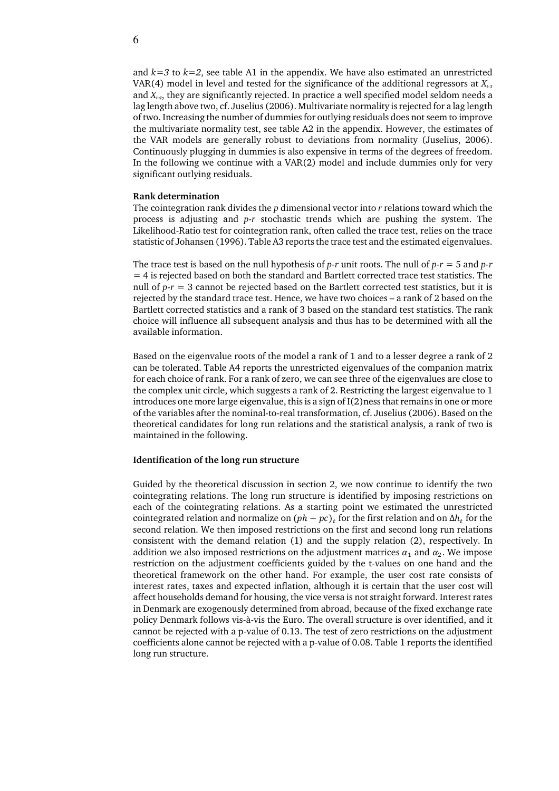and  $k=3$  to  $k=2$ , see table A1 in the appendix. We have also estimated an unrestricted VAR(4) model in level and tested for the significance of the additional regressors at *Xt-3* and  $X_{t-4}$ , they are significantly rejected. In practice a well specified model seldom needs a lag length above two, cf. Juselius (2006). Multivariate normality is rejected for a lag length of two. Increasing the number of dummies for outlying residuals does not seem to improve the multivariate normality test, see table A2 in the appendix. However, the estimates of the VAR models are generally robust to deviations from normality (Juselius, 2006). Continuously plugging in dummies is also expensive in terms of the degrees of freedom. In the following we continue with a VAR(2) model and include dummies only for very significant outlying residuals.

#### **Rank determination**

The cointegration rank divides the *p* dimensional vector into *r* relations toward which the process is adjusting and *p-r* stochastic trends which are pushing the system. The Likelihood-Ratio test for cointegration rank, often called the trace test, relies on the trace statistic of Johansen (1996). Table A3 reports the trace test and the estimated eigenvalues.

The trace test is based on the null hypothesis of  $p-r$  unit roots. The null of  $p-r = 5$  and  $p-r$ = 4 is rejected based on both the standard and Bartlett corrected trace test statistics. The null of *p-r* = 3 cannot be rejected based on the Bartlett corrected test statistics, but it is rejected by the standard trace test. Hence, we have two choices – a rank of 2 based on the Bartlett corrected statistics and a rank of 3 based on the standard test statistics. The rank choice will influence all subsequent analysis and thus has to be determined with all the available information.

Based on the eigenvalue roots of the model a rank of 1 and to a lesser degree a rank of 2 can be tolerated. Table A4 reports the unrestricted eigenvalues of the companion matrix for each choice of rank. For a rank of zero, we can see three of the eigenvalues are close to the complex unit circle, which suggests a rank of 2. Restricting the largest eigenvalue to 1 introduces one more large eigenvalue, this is a sign of I(2)ness that remains in one or more of the variables after the nominal-to-real transformation, cf. Juselius (2006). Based on the theoretical candidates for long run relations and the statistical analysis, a rank of two is maintained in the following.

## **Identification of the long run structure**

Guided by the theoretical discussion in section 2, we now continue to identify the two cointegrating relations. The long run structure is identified by imposing restrictions on each of the cointegrating relations. As a starting point we estimated the unrestricted cointegrated relation and normalize on  $(ph-pc)_t$  for the first relation and on  $\Delta h_t$  for the second relation. We then imposed restrictions on the first and second long run relations consistent with the demand relation (1) and the supply relation (2), respectively. In addition we also imposed restrictions on the adjustment matrices  $\alpha_1$  and  $\alpha_2$ . We impose restriction on the adjustment coefficients guided by the t-values on one hand and the theoretical framework on the other hand. For example, the user cost rate consists of interest rates, taxes and expected inflation, although it is certain that the user cost will affect households demand for housing, the vice versa is not straight forward. Interest rates in Denmark are exogenously determined from abroad, because of the fixed exchange rate policy Denmark follows vis-à-vis the Euro. The overall structure is over identified, and it cannot be rejected with a p-value of 0.13. The test of zero restrictions on the adjustment coefficients alone cannot be rejected with a p-value of 0.08. Table 1 reports the identified long run structure.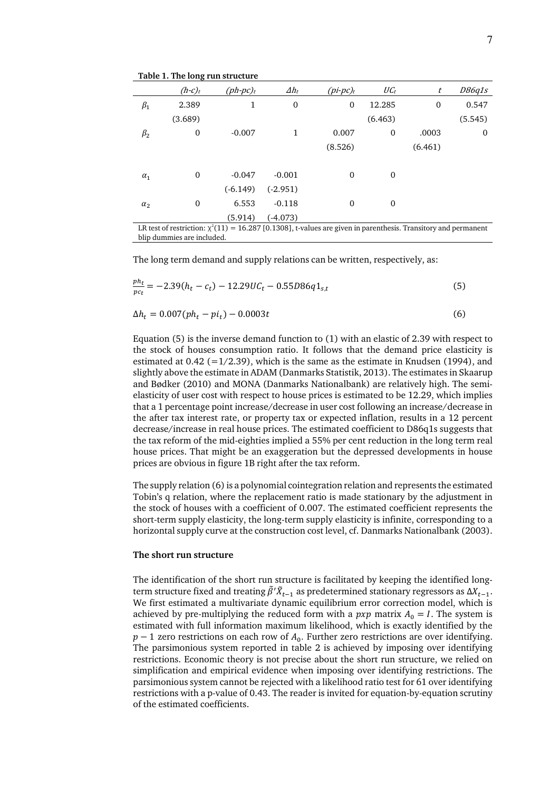|            | $(h-c)_t$    | $(ph\text{-}pc)_t$ | $\varDelta h_t$ | $(pi$ -pc $)$ <sub>t</sub>                                                                                          | $\mathit{UC}_t$  | t            | <i>D86q1s</i> |
|------------|--------------|--------------------|-----------------|---------------------------------------------------------------------------------------------------------------------|------------------|--------------|---------------|
| $\beta_1$  | 2.389        | 1                  | 0               | $\mathbf{0}$                                                                                                        | 12.285           | $\mathbf{0}$ | 0.547         |
|            | (3.689)      |                    |                 |                                                                                                                     | (6.463)          |              | (5.545)       |
| $\beta_2$  | $\mathbf{0}$ | $-0.007$           | 1               | 0.007                                                                                                               | $\mathbf 0$      | .0003        | 0             |
|            |              |                    |                 | (8.526)                                                                                                             |                  | (6.461)      |               |
|            |              |                    |                 |                                                                                                                     |                  |              |               |
| $\alpha_1$ | $\mathbf{0}$ | $-0.047$           | $-0.001$        | $\mathbf{0}$                                                                                                        | $\boldsymbol{0}$ |              |               |
|            |              | $(-6.149)$         | $(-2.951)$      |                                                                                                                     |                  |              |               |
| $\alpha_2$ | $\mathbf{0}$ | 6.553              | $-0.118$        | $\mathbf{0}$                                                                                                        | $\boldsymbol{0}$ |              |               |
|            |              | (5.914)            | $(-4.073)$      |                                                                                                                     |                  |              |               |
|            |              |                    |                 | LR test of restriction: $\chi^2(11) = 16.287$ [0.1308], t-values are given in parenthesis. Transitory and permanent |                  |              |               |

**Table 1. The long run structure** 

blip dummies are included.

The long term demand and supply relations can be written, respectively, as:

$$
\frac{ph_t}{pc_t} = -2.39(h_t - c_t) - 12.29UC_t - 0.55D86q1_{s,t}
$$
\n(5)

$$
\Delta h_t = 0.007 (ph_t - pi_t) - 0.0003t \tag{6}
$$

Equation (5) is the inverse demand function to (1) with an elastic of 2.39 with respect to the stock of houses consumption ratio. It follows that the demand price elasticity is estimated at  $0.42$  (=1/2.39), which is the same as the estimate in Knudsen (1994), and slightly above the estimate in ADAM (Danmarks Statistik, 2013). The estimates in Skaarup and Bødker (2010) and MONA (Danmarks Nationalbank) are relatively high. The semielasticity of user cost with respect to house prices is estimated to be 12.29, which implies that a 1 percentage point increase/decrease in user cost following an increase/decrease in the after tax interest rate, or property tax or expected inflation, results in a 12 percent decrease/increase in real house prices. The estimated coefficient to D86q1s suggests that the tax reform of the mid-eighties implied a 55% per cent reduction in the long term real house prices. That might be an exaggeration but the depressed developments in house prices are obvious in figure 1B right after the tax reform.

The supply relation (6) is a polynomial cointegration relation and represents the estimated Tobin's q relation, where the replacement ratio is made stationary by the adjustment in the stock of houses with a coefficient of 0.007. The estimated coefficient represents the short-term supply elasticity, the long-term supply elasticity is infinite, corresponding to a horizontal supply curve at the construction cost level, cf. Danmarks Nationalbank (2003).

#### **The short run structure**

The identification of the short run structure is facilitated by keeping the identified longterm structure fixed and treating  $\tilde{\beta}' \tilde{X}_{t-1}$  as predetermined stationary regressors as  $\Delta X_{t-1}$ . We first estimated a multivariate dynamic equilibrium error correction model, which is achieved by pre-multiplying the reduced form with a  $pxp$  matrix  $A_0 = I$ . The system is estimated with full information maximum likelihood, which is exactly identified by the *p* − 1 zero restrictions on each row of  $A_0$ . Further zero restrictions are over identifying. The parsimonious system reported in table 2 is achieved by imposing over identifying restrictions. Economic theory is not precise about the short run structure, we relied on simplification and empirical evidence when imposing over identifying restrictions. The parsimonious system cannot be rejected with a likelihood ratio test for 61 over identifying restrictions with a p-value of 0.43. The reader is invited for equation-by-equation scrutiny of the estimated coefficients.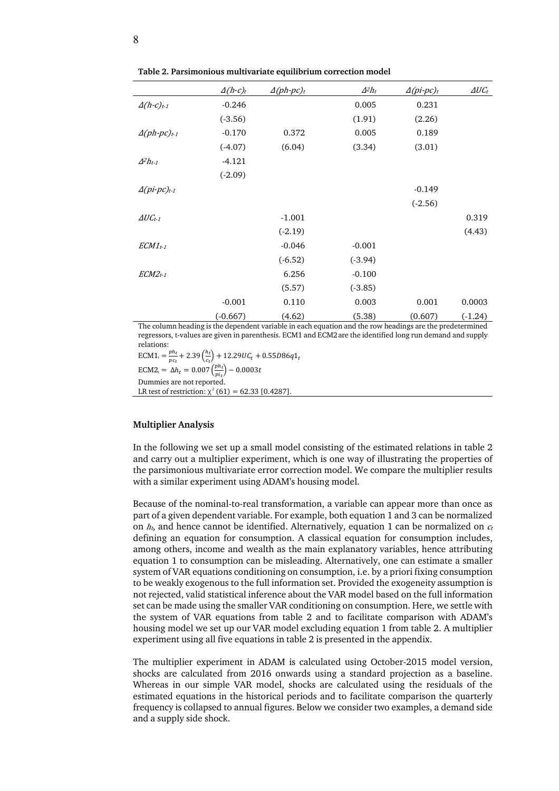|                                            | $\Delta(h-c)t$ | $\Delta(ph\text{-}pc)$ t | $\Delta^2 h_t$ | $\Delta(p$ <i>i</i> -pc $)$ <sub>t</sub> | $\Delta U C_t$ |
|--------------------------------------------|----------------|--------------------------|----------------|------------------------------------------|----------------|
| $\Delta(h-c)_{t-1}$                        | $-0.246$       |                          | 0.005          | 0.231                                    |                |
|                                            | $(-3.56)$      |                          | (1.91)         | (2.26)                                   |                |
| $\Delta(ph\text{-}pc)$ t-1                 | $-0.170$       | 0.372                    | 0.005          | 0.189                                    |                |
|                                            | $(-4.07)$      | (6.04)                   | (3.34)         | (3.01)                                   |                |
| $\Delta^2 h_{t-1}$                         | $-4.121$       |                          |                |                                          |                |
|                                            | $(-2.09)$      |                          |                |                                          |                |
| $\Delta(p$ <i>i</i> -pc $)$ <sub>t-1</sub> |                |                          |                | $-0.149$                                 |                |
|                                            |                |                          |                | $(-2.56)$                                |                |
| $\Delta U C_{t-1}$                         |                | $-1.001$                 |                |                                          | 0.319          |
|                                            |                | $(-2.19)$                |                |                                          | (4.43)         |
| $ECMI_{t-1}$                               |                | $-0.046$                 | $-0.001$       |                                          |                |
|                                            |                | $(-6.52)$                | $(-3.94)$      |                                          |                |
| $ECM2_{t-1}$                               |                | 6.256                    | $-0.100$       |                                          |                |
|                                            |                | (5.57)                   | $(-3.85)$      |                                          |                |
|                                            | $-0.001$       | 0.110                    | 0.003          | 0.001                                    | 0.0003         |
|                                            | $(-0.667)$     | (4.62)                   | (5.38)         | (0.607)                                  | $(-1.24)$      |

**Table 2. Parsimonious multivariate equilibrium correction model**

The column heading is the dependent variable in each equation and the row headings are the predetermined regressors, t-values are given in parenthesis. ECM1 and ECM2are the identified long run demand and supply relations:

 $ECM1_t = \frac{ph_t}{m_t}$  $\frac{ph_t}{pc_t}$  + 2.39 $\left(\frac{h_t}{c_t}\right)$  + 12.29U $C_t$  + 0.55D86q1<sub>t</sub>

ECM2<sub>t</sub> =  $\Delta h_t = 0.007 \left( \frac{ph_t}{pi_t} \right) - 0.0003t$ Dummies are not reported.

LR test of restriction:  $\chi^2$  (61) = 62.33 [0.4287].

# **Multiplier Analysis**

In the following we set up a small model consisting of the estimated relations in table 2 and carry out a multiplier experiment, which is one way of illustrating the properties of the parsimonious multivariate error correction model. We compare the multiplier results with a similar experiment using ADAM's housing model.

Because of the nominal-to-real transformation, a variable can appear more than once as part of a given dependent variable. For example, both equation 1 and 3 can be normalized on  $h_t$ , and hence cannot be identified. Alternatively, equation 1 can be normalized on  $c_t$ defining an equation for consumption. A classical equation for consumption includes, among others, income and wealth as the main explanatory variables, hence attributing equation 1 to consumption can be misleading. Alternatively, one can estimate a smaller system of VAR equations conditioning on consumption, i.e. by a priori fixing consumption to be weakly exogenous to the full information set. Provided the exogeneity assumption is not rejected, valid statistical inference about the VAR model based on the full information set can be made using the smaller VAR conditioning on consumption. Here, we settle with the system of VAR equations from table 2 and to facilitate comparison with ADAM's housing model we set up our VAR model excluding equation 1 from table 2. A multiplier experiment using all five equations in table 2 is presented in the appendix.

The multiplier experiment in ADAM is calculated using October-2015 model version, shocks are calculated from 2016 onwards using a standard projection as a baseline. Whereas in our simple VAR model, shocks are calculated using the residuals of the estimated equations in the historical periods and to facilitate comparison the quarterly frequency is collapsed to annual figures. Below we consider two examples, a demand side and a supply side shock.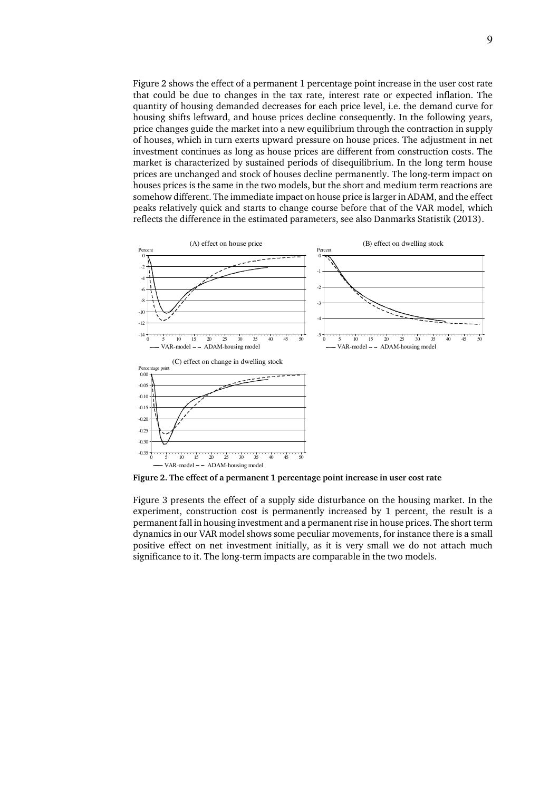Figure 2 shows the effect of a permanent 1 percentage point increase in the user cost rate that could be due to changes in the tax rate, interest rate or expected inflation. The quantity of housing demanded decreases for each price level, i.e. the demand curve for housing shifts leftward, and house prices decline consequently. In the following years, price changes guide the market into a new equilibrium through the contraction in supply of houses, which in turn exerts upward pressure on house prices. The adjustment in net investment continues as long as house prices are different from construction costs. The market is characterized by sustained periods of disequilibrium. In the long term house prices are unchanged and stock of houses decline permanently. The long-term impact on houses prices is the same in the two models, but the short and medium term reactions are somehow different. The immediate impact on house price is larger in ADAM, and the effect peaks relatively quick and starts to change course before that of the VAR model, which reflects the difference in the estimated parameters, see also Danmarks Statistik (2013).



**Figure 2. The effect of a permanent 1 percentage point increase in user cost rate** 

Figure 3 presents the effect of a supply side disturbance on the housing market. In the experiment, construction cost is permanently increased by 1 percent, the result is a permanent fall in housing investment and a permanent rise in house prices. The short term dynamics in our VAR model shows some peculiar movements, for instance there is a small positive effect on net investment initially, as it is very small we do not attach much significance to it. The long-term impacts are comparable in the two models.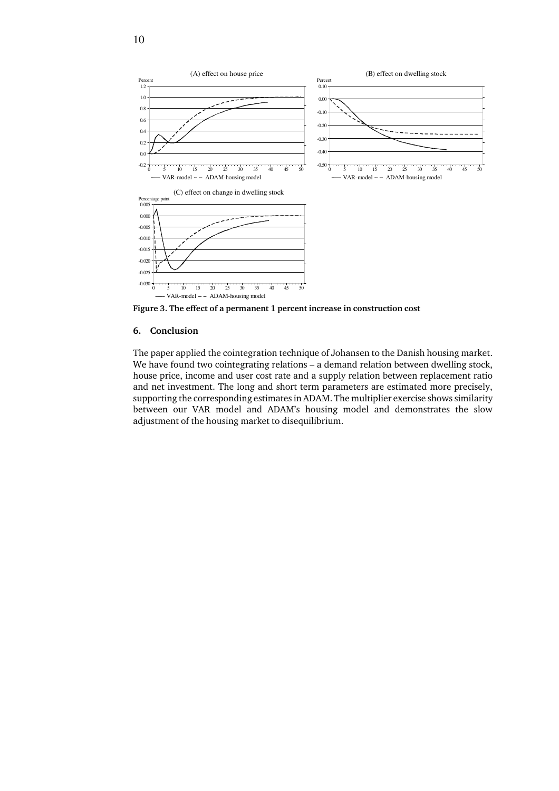

**Figure 3. The effect of a permanent 1 percent increase in construction cost** 

## **6. Conclusion**

The paper applied the cointegration technique of Johansen to the Danish housing market. We have found two cointegrating relations – a demand relation between dwelling stock, house price, income and user cost rate and a supply relation between replacement ratio and net investment. The long and short term parameters are estimated more precisely, supporting the corresponding estimates in ADAM. The multiplier exercise shows similarity between our VAR model and ADAM's housing model and demonstrates the slow adjustment of the housing market to disequilibrium.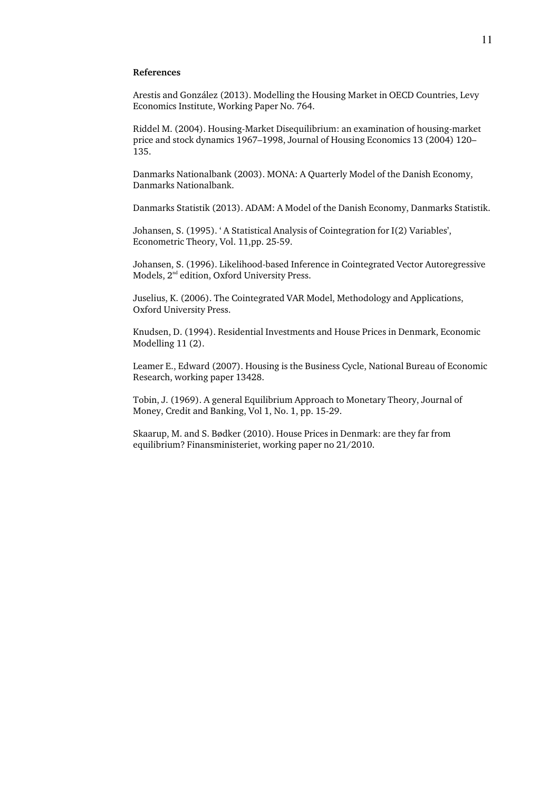## **References**

Arestis and González (2013). Modelling the Housing Market in OECD Countries, Levy Economics Institute, Working Paper No. 764.

Riddel M. (2004). Housing-Market Disequilibrium: an examination of housing-market price and stock dynamics 1967–1998, Journal of Housing Economics 13 (2004) 120– 135.

Danmarks Nationalbank (2003). MONA: A Quarterly Model of the Danish Economy, Danmarks Nationalbank.

Danmarks Statistik (2013). ADAM: A Model of the Danish Economy, Danmarks Statistik.

Johansen, S. (1995). ' A Statistical Analysis of Cointegration for I(2) Variables', Econometric Theory, Vol. 11,pp. 25-59.

Johansen, S. (1996). Likelihood-based Inference in Cointegrated Vector Autoregressive Models, 2<sup>nd</sup> edition, Oxford University Press.

Juselius, K. (2006). The Cointegrated VAR Model, Methodology and Applications, Oxford University Press.

Knudsen, D. (1994). Residential Investments and House Prices in Denmark, Economic Modelling 11 (2).

Leamer E., Edward (2007). Housing is the Business Cycle, National Bureau of Economic Research, working paper 13428.

Tobin, J. (1969). A general Equilibrium Approach to Monetary Theory, Journal of Money, Credit and Banking, Vol 1, No. 1, pp. 15-29.

Skaarup, M. and S. Bødker (2010). House Prices in Denmark: are they far from equilibrium? Finansministeriet, working paper no 21/2010.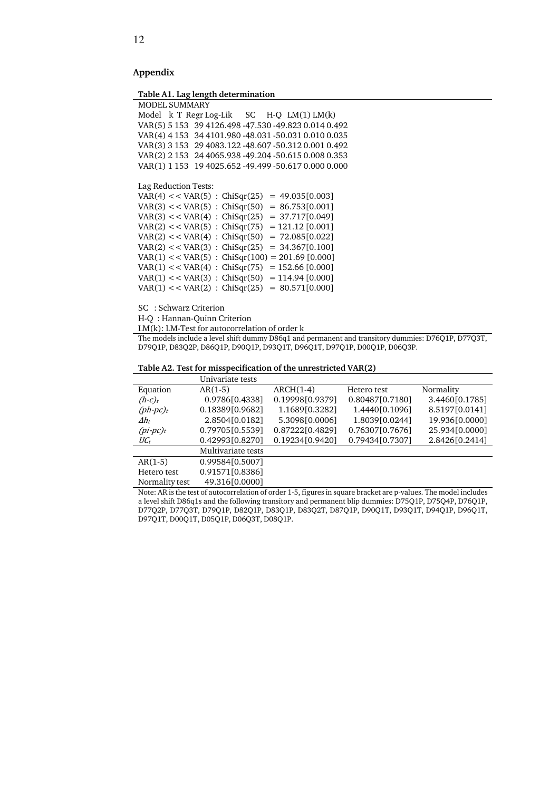# **Appendix**

**Table A1. Lag length determination**

| <b>MODEL SUMMARY</b>                                   |  |  |  |  |  |  |  |  |
|--------------------------------------------------------|--|--|--|--|--|--|--|--|
| Model $k$ T Regr Log-Lik $SC$ H-O $LM(1) LM(k)$        |  |  |  |  |  |  |  |  |
| VAR(5) 5 153 39 4126.498 -47.530 -49.823 0.014 0.492   |  |  |  |  |  |  |  |  |
| VAR(4) 4 153 34 4101.980 - 48.031 - 50.031 0.010 0.035 |  |  |  |  |  |  |  |  |
| VAR(3) 3 153 29 4083.122 -48.607 -50.312 0.001 0.492   |  |  |  |  |  |  |  |  |
| VAR(2) 2 153 24 4065.938 -49.204 -50.615 0.008 0.353   |  |  |  |  |  |  |  |  |
| VAR(1) 1 153 19 4025.652 -49.499 -50.617 0.000 0.000   |  |  |  |  |  |  |  |  |

Lag Reduction Tests:

|  |  | $VAR(4) \ll VAR(5)$ : $ChiSqr(25)$ | $= 49.035[0.003]$                                    |
|--|--|------------------------------------|------------------------------------------------------|
|  |  | $VAR(3) \lt VAR(5)$ : ChiSqr(50)   | $= 86.753[0.001]$                                    |
|  |  | $VAR(3) \lt VAR(4)$ : ChiSqr(25)   | $= 37.717[0.049]$                                    |
|  |  | $VAR(2) \lt VAR(5)$ : $Chisqr(75)$ | $= 121.12 [0.001]$                                   |
|  |  | $VAR(2) \lt VAR(4)$ : ChiSqr(50)   | $= 72.085[0.022]$                                    |
|  |  | $VAR(2) \lt VAR(3)$ : ChiSqr(25)   | $= 34.367[0.100]$                                    |
|  |  |                                    | $VAR(1) \ll VAR(5)$ : $ChiSqr(100) = 201.69$ [0.000] |
|  |  | $VAR(1) \lt VAR(4)$ : ChiSqr(75)   | $= 152.66$ [0.000]                                   |
|  |  | $VAR(1) \lt VAR(3)$ : $ChiSqr(50)$ | $= 114.94$ [0.000]                                   |
|  |  | $VAR(1) \lt VAR(2)$ : $Chisqr(25)$ | $= 80.571[0.000]$                                    |

SC : Schwarz Criterion

H-Q : Hannan-Quinn Criterion

LM(k): LM-Test for autocorrelation of order k

The models include a level shift dummy D86q1 and permanent and transitory dummies: D76Q1P, D77Q3T, D79Q1P, D83Q2P, D86Q1P, D90Q1P, D93Q1T, D96Q1T, D97Q1P, D00Q1P, D06Q3P.

#### **Table A2. Test for misspecification of the unrestricted VAR(2)**

|                    | Univariate tests   |                 |                 |                |
|--------------------|--------------------|-----------------|-----------------|----------------|
| Equation           | $AR(1-5)$          | $ARCH(1-4)$     | Hetero test     | Normality      |
| $(h-c)_t$          | 0.9786[0.4338]     | 0.19998[0.9379] | 0.80487[0.7180] | 3.4460[0.1785] |
| $(ph\text{-}pc)_t$ | 0.18389[0.9682]    | 1.1689[0.3282]  | 1.4440[0.1096]  | 8.5197[0.0141] |
| $\varDelta h_t$    | 2.8504[0.0182]     | 5.3098[0.0006]  | 1.8039[0.0244]  | 19.936[0.0000] |
| $(p\text{i}-pc)t$  | 0.79705[0.5539]    | 0.87222[0.4829] | 0.76307[0.7676] | 25.934[0.0000] |
| $\mathit{UC}_t$    | 0.42993[0.8270]    | 0.19234[0.9420] | 0.79434[0.7307] | 2.8426[0.2414] |
|                    | Multivariate tests |                 |                 |                |
| $AR(1-5)$          | 0.99584[0.5007]    |                 |                 |                |
| Hetero test        | 0.91571[0.8386]    |                 |                 |                |
| Normality test     | 49.316[0.0000]     |                 |                 |                |
|                    |                    |                 |                 |                |

Note: AR is the test of autocorrelation of order 1-5, figures in square bracket are p-values. The model includes a level shift D86q1s and the following transitory and permanent blip dummies: D75Q1P, D75Q4P, D76Q1P, D77Q2P, D77Q3T, D79Q1P, D82Q1P, D83Q1P, D83Q2T, D87Q1P, D90Q1T, D93Q1T, D94Q1P, D96Q1T, D97Q1T, D00Q1T, D05Q1P, D06Q3T, D08Q1P.